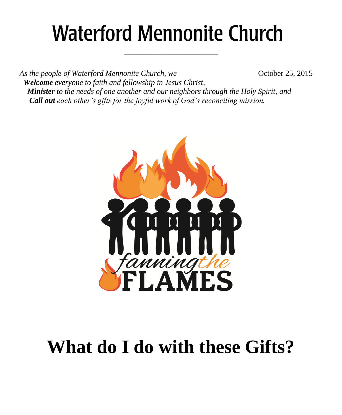# **Waterford Mennonite Church**

\_\_\_\_\_\_\_\_\_\_\_\_\_\_\_\_\_\_\_\_\_\_\_\_

*As the people of Waterford Mennonite Church, we* **Change 6. 2008 October 25, 2015**  *Welcome everyone to faith and fellowship in Jesus Christ, Minister to the needs of one another and our neighbors through the Holy Spirit, and Call out each other's gifts for the joyful work of God's reconciling mission.*



## **What do I do with these Gifts?**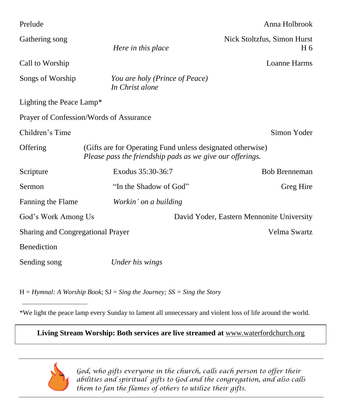| Prelude                                                          |                                                                                                                         | Anna Holbrook                                 |  |  |
|------------------------------------------------------------------|-------------------------------------------------------------------------------------------------------------------------|-----------------------------------------------|--|--|
| Gathering song                                                   | Here in this place                                                                                                      | Nick Stoltzfus, Simon Hurst<br>H <sub>6</sub> |  |  |
| Call to Worship                                                  |                                                                                                                         | Loanne Harms                                  |  |  |
| Songs of Worship                                                 | You are holy (Prince of Peace)<br>In Christ alone                                                                       |                                               |  |  |
| Lighting the Peace Lamp*                                         |                                                                                                                         |                                               |  |  |
| Prayer of Confession/Words of Assurance                          |                                                                                                                         |                                               |  |  |
| Children's Time                                                  |                                                                                                                         | Simon Yoder                                   |  |  |
| Offering                                                         | (Gifts are for Operating Fund unless designated otherwise)<br>Please pass the friendship pads as we give our offerings. |                                               |  |  |
| Scripture                                                        | Exodus 35:30-36:7                                                                                                       | <b>Bob Brenneman</b>                          |  |  |
| Sermon                                                           | "In the Shadow of God"                                                                                                  | Greg Hire                                     |  |  |
| Fanning the Flame                                                | Workin' on a building                                                                                                   |                                               |  |  |
| David Yoder, Eastern Mennonite University<br>God's Work Among Us |                                                                                                                         |                                               |  |  |
| Velma Swartz<br><b>Sharing and Congregational Prayer</b>         |                                                                                                                         |                                               |  |  |
| Benediction                                                      |                                                                                                                         |                                               |  |  |
| Sending song                                                     | Under his wings                                                                                                         |                                               |  |  |

H = *Hymnal: A Worship Book*; SJ = *Sing the Journey; SS = Sing the Story*

\*We light the peace lamp every Sunday to lament all unnecessary and violent loss of life around the world.

### **Living Stream Worship: Both services are live streamed at** [www.waterfordchurch.org](http://www.waterfordchurch.org/)



 *God, who gifts everyone in the church, calls each person to offer their abilities and spiritual gifts to God and the congregation, and also calls them to fan the flames of others to utilize their gifts.*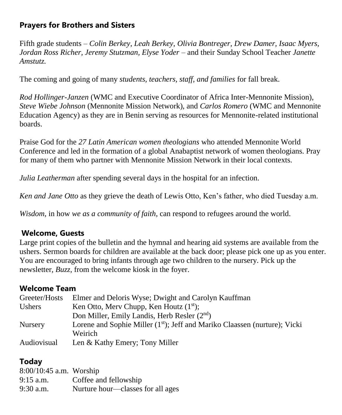### **Prayers for Brothers and Sisters**

Fifth grade students *– Colin Berkey, Leah Berkey, Olivia Bontreger, Drew Damer, Isaac Myers, Jordan Ross Richer, Jeremy Stutzman, Elyse Yoder –* and their Sunday School Teacher *Janette Amstutz.*

The coming and going of many *students, teachers, staff, and families* for fall break.

*Rod Hollinger-Janzen* (WMC and Executive Coordinator of Africa Inter-Mennonite Mission), *Steve Wiebe Johnson* (Mennonite Mission Network), and *Carlos Romero* (WMC and Mennonite Education Agency) as they are in Benin serving as resources for Mennonite-related institutional boards.

Praise God for the *27 Latin American women theologians* who attended Mennonite World Conference and led in the formation of a global Anabaptist network of women theologians. Pray for many of them who partner with Mennonite Mission Network in their local contexts.

*Julia Leatherman* after spending several days in the hospital for an infection.

*Ken and Jane Otto* as they grieve the death of Lewis Otto, Ken's father, who died Tuesday a.m.

*Wisdom*, in how *we as a community of faith*, can respond to refugees around the world.

#### **Welcome, Guests**

Large print copies of the bulletin and the hymnal and hearing aid systems are available from the ushers. Sermon boards for children are available at the back door; please pick one up as you enter. You are encouraged to bring infants through age two children to the nursery. Pick up the newsletter, *Buzz,* from the welcome kiosk in the foyer.

#### **Welcome Team**

| Greeter/Hosts  | Elmer and Deloris Wyse; Dwight and Carolyn Kauffman                                    |
|----------------|----------------------------------------------------------------------------------------|
| Ushers         | Ken Otto, Merv Chupp, Ken Houtz $(1st)$ ;                                              |
|                | Don Miller, Emily Landis, Herb Resler (2 <sup>nd</sup> )                               |
| <b>Nursery</b> | Lorene and Sophie Miller (1 <sup>st</sup> ); Jeff and Mariko Claassen (nurture); Vicki |
|                | <b>Weirich</b>                                                                         |
| Audiovisual    | Len & Kathy Emery; Tony Miller                                                         |

### **Today**

| $8:00/10:45$ a.m. Worship |                                   |
|---------------------------|-----------------------------------|
| $9:15$ a.m.               | Coffee and fellowship             |
| $9:30$ a.m.               | Nurture hour—classes for all ages |